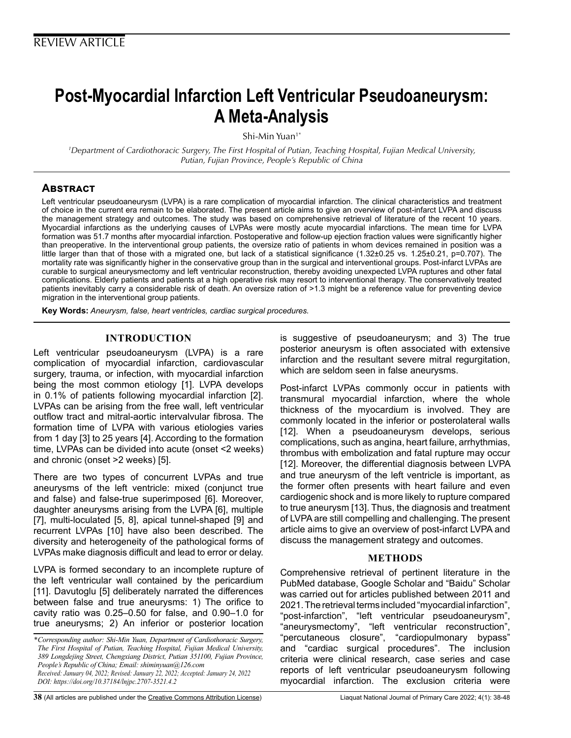# **Post-Myocardial Infarction Left Ventricular Pseudoaneurysm: A Meta-Analysis**

Shi-Min Yuan<sup>1\*</sup>

*1 Department of Cardiothoracic Surgery, The First Hospital of Putian, Teaching Hospital, Fujian Medical University, Putian, Fujian Province, People's Republic of China*

# **Abstract**

Left ventricular pseudoaneurysm (LVPA) is a rare complication of myocardial infarction. The clinical characteristics and treatment of choice in the current era remain to be elaborated. The present article aims to give an overview of post-infarct LVPA and discuss the management strategy and outcomes. The study was based on comprehensive retrieval of literature of the recent 10 years. Myocardial infarctions as the underlying causes of LVPAs were mostly acute myocardial infarctions. The mean time for LVPA formation was 51.7 months after myocardial infarction. Postoperative and follow-up ejection fraction values were significantly higher than preoperative. In the interventional group patients, the oversize ratio of patients in whom devices remained in position was a little larger than that of those with a migrated one, but lack of a statistical significance (1.32±0.25 vs. 1.25±0.21, p=0.707). The mortality rate was significantly higher in the conservative group than in the surgical and interventional groups. Post-infarct LVPAs are curable to surgical aneurysmectomy and left ventricular reconstruction, thereby avoiding unexpected LVPA ruptures and other fatal complications. Elderly patients and patients at a high operative risk may resort to interventional therapy. The conservatively treated patients inevitably carry a considerable risk of death. An oversize ration of >1.3 might be a reference value for preventing device migration in the interventional group patients.

**Key Words:** *Aneurysm, false, heart ventricles, cardiac surgical procedures.*

# **INTRODUCTION**

Left ventricular pseudoaneurysm (LVPA) is a rare complication of myocardial infarction, cardiovascular surgery, trauma, or infection, with myocardial infarction being the most common etiology [1]. LVPA develops in 0.1% of patients following myocardial infarction [2]. LVPAs can be arising from the free wall, left ventricular outflow tract and mitral-aortic intervalvular fibrosa. The formation time of LVPA with various etiologies varies from 1 day [3] to 25 years [4]. According to the formation time, LVPAs can be divided into acute (onset <2 weeks) and chronic (onset >2 weeks) [5].

There are two types of concurrent LVPAs and true aneurysms of the left ventricle: mixed (conjunct true and false) and false-true superimposed [6]. Moreover, daughter aneurysms arising from the LVPA [6], multiple [7], multi-loculated [5, 8], apical tunnel-shaped [9] and recurrent LVPAs [10] have also been described. The diversity and heterogeneity of the pathological forms of LVPAs make diagnosis difficult and lead to error or delay.

LVPA is formed secondary to an incomplete rupture of the left ventricular wall contained by the pericardium [11]. Davutoglu [5] deliberately narrated the differences between false and true aneurysms: 1) The orifice to cavity ratio was 0.25–0.50 for false, and 0.90–1.0 for true aneurysms; 2) An inferior or posterior location is suggestive of pseudoaneurysm; and 3) The true posterior aneurysm is often associated with extensive infarction and the resultant severe mitral regurgitation, which are seldom seen in false aneurysms.

Post-infarct LVPAs commonly occur in patients with transmural myocardial infarction, where the whole thickness of the myocardium is involved. They are commonly located in the inferior or posterolateral walls [12]. When a pseudoaneurysm develops, serious complications, such as angina, heart failure, arrhythmias, thrombus with embolization and fatal rupture may occur [12]. Moreover, the differential diagnosis between LVPA and true aneurysm of the left ventricle is important, as the former often presents with heart failure and even cardiogenic shock and is more likely to rupture compared to true aneurysm [13]. Thus, the diagnosis and treatment of LVPA are still compelling and challenging. The present article aims to give an overview of post-infarct LVPA and discuss the management strategy and outcomes.

## **METHODS**

Comprehensive retrieval of pertinent literature in the PubMed database, Google Scholar and "Baidu" Scholar was carried out for articles published between 2011 and 2021. The retrieval terms included "myocardial infarction", "post-infarction", "left ventricular pseudoaneurysm", "aneurysmectomy", "left ventricular reconstruction", "percutaneous closure", "cardiopulmonary bypass" and "cardiac surgical procedures". The inclusion criteria were clinical research, case series and case reports of left ventricular pseudoaneurysm following myocardial infarction. The exclusion criteria were

*<sup>\*</sup>Corresponding author: Shi-Min Yuan, Department of Cardiothoracic Surgery, The First Hospital of Putian, Teaching Hospital, Fujian Medical University, 389 Longdejing Street, Chengxiang District, Putian 351100, Fujian Province, People's Republic of China; Email: shiminyuan@126.com Received: January 04, 2022; Revised: January 22, 2022; Accepted: January 24, 2022 DOI: https://doi.org/10.37184/lnjpc.2707-3521.4.2*

**<sup>38</sup>** (All articles are published under the [Creative Commons Attribution License\)](https://creativecommons.org/licenses/by/4.0/) Liaquat National Journal of Primary Care 2022; 4(1): 38-48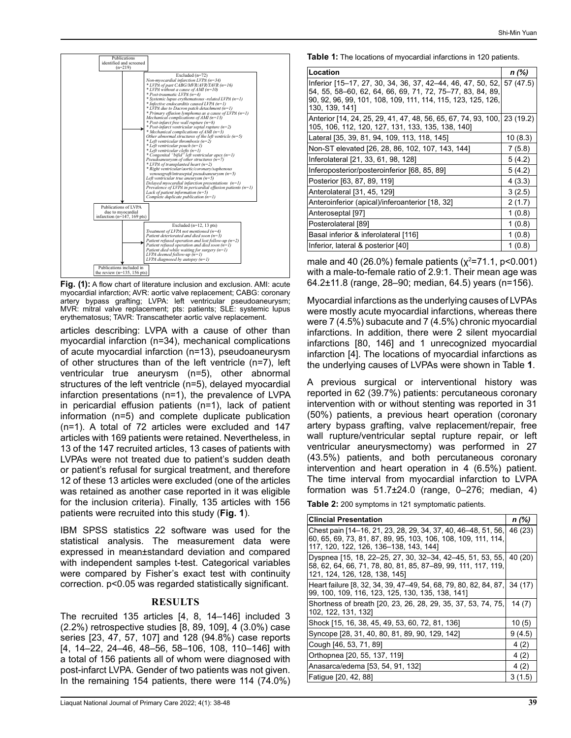

**Fig. (1):** A flow chart of literature inclusion and exclusion. AMI: acute myocardial infarction; AVR: aortic valve replacement; CABG: coronary artery bypass grafting; LVPA: left ventricular pseudoaneurysm; MVR: mitral valve replacement; pts: patients; SLE: systemic lupus erythematosus; TAVR: Transcatheter aortic valve replacement.

articles describing: LVPA with a cause of other than myocardial infarction (n=34), mechanical complications of acute myocardial infarction (n=13), pseudoaneurysm of other structures than of the left ventricle (n=7), left ventricular true aneurysm (n=5), other abnormal structures of the left ventricle (n=5), delayed myocardial infarction presentations (n=1), the prevalence of LVPA in pericardial effusion patients (n=1), lack of patient information (n=5) and complete duplicate publication (n=1). A total of 72 articles were excluded and 147 articles with 169 patients were retained. Nevertheless, in 13 of the 147 recruited articles, 13 cases of patients with LVPAs were not treated due to patient's sudden death or patient's refusal for surgical treatment, and therefore 12 of these 13 articles were excluded (one of the articles was retained as another case reported in it was eligible for the inclusion criteria). Finally, 135 articles with 156 patients were recruited into this study (**Fig. 1**).

IBM SPSS statistics 22 software was used for the statistical analysis. The measurement data were expressed in mean±standard deviation and compared with independent samples t-test. Categorical variables were compared by Fisher's exact test with continuity correction. p<0.05 was regarded statistically significant.

#### **RESULTS**

The recruited 135 articles [4, 8, 14–146] included 3 (2.2%) retrospective studies [8, 89, 109], 4 (3.0%) case series [23, 47, 57, 107] and 128 (94.8%) case reports [4, 14–22, 24–46, 48–56, 58–106, 108, 110–146] with a total of 156 patients all of whom were diagnosed with post-infarct LVPA. Gender of two patients was not given. In the remaining 154 patients, there were 114 (74.0%)

**Table 1:** The locations of myocardial infarctions in 120 patients.

| Location                                                                                                                                                                                                             | n (%)    |
|----------------------------------------------------------------------------------------------------------------------------------------------------------------------------------------------------------------------|----------|
| Inferior [15-17, 27, 30, 34, 36, 37, 42-44, 46, 47, 50, 52, 57 (47.5)<br>54, 55, 58–60, 62, 64, 66, 69, 71, 72, 75–77, 83, 84, 89,<br>90, 92, 96, 99, 101, 108, 109, 111, 114, 115, 123, 125, 126,<br>130, 139, 141] |          |
| Anterior [14, 24, 25, 29, 41, 47, 48, 56, 65, 67, 74, 93, 100, 23 (19.2)<br>105, 106, 112, 120, 127, 131, 133, 135, 138, 140]                                                                                        |          |
| Lateral [35, 39, 81, 94, 109, 113, 118, 145]                                                                                                                                                                         | 10 (8.3) |
| Non-ST elevated [26, 28, 86, 102, 107, 143, 144]                                                                                                                                                                     | 7(5.8)   |
| Inferolateral [21, 33, 61, 98, 128]                                                                                                                                                                                  | 5(4.2)   |
| Inferoposterior/posteroinferior [68, 85, 89]                                                                                                                                                                         | 5(4.2)   |
| Posterior [63, 87, 89, 119]                                                                                                                                                                                          | 4(3.3)   |
| Anterolateral [31, 45, 129]                                                                                                                                                                                          | 3(2.5)   |
| Anteroinferior (apical)/inferoanterior [18, 32]                                                                                                                                                                      | 2(1.7)   |
| Anteroseptal [97]                                                                                                                                                                                                    | 1(0.8)   |
| Posterolateral [89]                                                                                                                                                                                                  | 1(0.8)   |
| Basal inferior & inferolateral [116]                                                                                                                                                                                 | 1(0.8)   |
| Inferior, lateral & posterior [40]                                                                                                                                                                                   | 1(0.8)   |

male and 40 (26.0%) female patients ( $\chi^2$ =71.1, p<0.001) with a male-to-female ratio of 2.9:1. Their mean age was 64.2±11.8 (range, 28–90; median, 64.5) years (n=156).

Myocardial infarctions as the underlying causes of LVPAs were mostly acute myocardial infarctions, whereas there were 7 (4.5%) subacute and 7 (4.5%) chronic myocardial infarctions. In addition, there were 2 silent myocardial infarctions [80, 146] and 1 unrecognized myocardial infarction [4]. The locations of myocardial infarctions as the underlying causes of LVPAs were shown in Table **1**.

A previous surgical or interventional history was reported in 62 (39.7%) patients: percutaneous coronary intervention with or without stenting was reported in 31 (50%) patients, a previous heart operation (coronary artery bypass grafting, valve replacement/repair, free wall rupture/ventricular septal rupture repair, or left ventricular aneurysmectomy) was performed in 27 (43.5%) patients, and both percutaneous coronary intervention and heart operation in 4 (6.5%) patient. The time interval from myocardial infarction to LVPA formation was 51.7±24.0 (range, 0–276; median, 4)

|  |  |  | Table 2: 200 symptoms in 121 symptomatic patients. |  |  |  |
|--|--|--|----------------------------------------------------|--|--|--|
|--|--|--|----------------------------------------------------|--|--|--|

| <b>Clincial Presentation</b>                                                                                                                                             | n (%)   |
|--------------------------------------------------------------------------------------------------------------------------------------------------------------------------|---------|
| Chest pain [14–16, 21, 23, 28, 29, 34, 37, 40, 46–48, 51, 56,<br>60, 65, 69, 73, 81, 87, 89, 95, 103, 106, 108, 109, 111, 114,<br>117, 120, 122, 126, 136–138, 143, 144] | 46 (23) |
| Dyspnea [15, 18, 22–25, 27, 30, 32–34, 42–45, 51, 53, 55,<br>58, 62, 64, 66, 71, 78, 80, 81, 85, 87–89, 99, 111, 117, 119,<br>121, 124, 126, 128, 138, 145]              | 40 (20) |
| Heart failure [8, 32, 34, 39, 47–49, 54, 68, 79, 80, 82, 84, 87,  <br>99, 100, 109, 116, 123, 125, 130, 135, 138, 141]                                                   | 34 (17) |
| Shortness of breath [20, 23, 26, 28, 29, 35, 37, 53, 74, 75,<br>102, 122, 131, 132]                                                                                      | 14 (7)  |
| Shock [15, 16, 38, 45, 49, 53, 60, 72, 81, 136]                                                                                                                          | 10(5)   |
| Syncope [28, 31, 40, 80, 81, 89, 90, 129, 142]                                                                                                                           | 9(4.5)  |
| Cough [46, 53, 71, 89]                                                                                                                                                   | 4(2)    |
| Orthopnea [20, 55, 137, 119]                                                                                                                                             | 4 (2)   |
| Anasarca/edema [53, 54, 91, 132]                                                                                                                                         | 4 (2)   |
| Fatigue [20, 42, 88]                                                                                                                                                     | 3 (1.5) |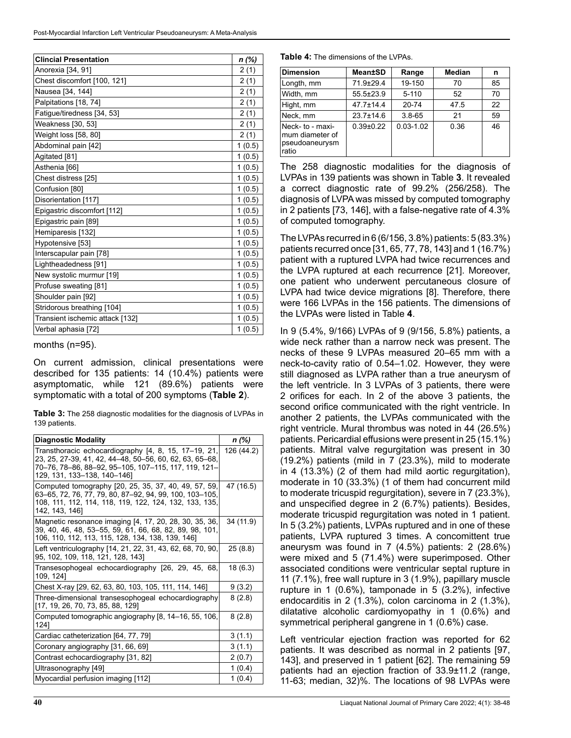| <b>Clincial Presentation</b>    | n (%)  |
|---------------------------------|--------|
| Anorexia [34, 91]               | 2(1)   |
| Chest discomfort [100, 121]     | 2(1)   |
| Nausea [34, 144]                | 2(1)   |
| Palpitations [18, 74]           | 2(1)   |
| Fatigue/tiredness [34, 53]      | 2(1)   |
| Weakness [30, 53]               | 2(1)   |
| Weight loss [58, 80]            | 2(1)   |
| Abdominal pain [42]             | 1(0.5) |
| Agitated [81]                   | 1(0.5) |
| Asthenia [66]                   | 1(0.5) |
| Chest distress [25]             | 1(0.5) |
| Confusion [80]                  | 1(0.5) |
| Disorientation [117]            | 1(0.5) |
| Epigastric discomfort [112]     | 1(0.5) |
| Epigastric pain [89]            | 1(0.5) |
| Hemiparesis [132]               | 1(0.5) |
| Hypotensive [53]                | 1(0.5) |
| Interscapular pain [78]         | 1(0.5) |
| Lightheadedness [91]            | 1(0.5) |
| New systolic murmur [19]        | 1(0.5) |
| Profuse sweating [81]           | 1(0.5) |
| Shoulder pain [92]              | 1(0.5) |
| Stridorous breathing [104]      | 1(0.5) |
| Transient ischemic attack [132] | 1(0.5) |
| Verbal aphasia [72]             | 1(0.5) |

months (n=95).

On current admission, clinical presentations were described for 135 patients: 14 (10.4%) patients were asymptomatic, while 121 (89.6%) patients were symptomatic with a total of 200 symptoms (**Table 2**).

**Table 3:** The 258 diagnostic modalities for the diagnosis of LVPAs in 139 patients.

| <b>Diagnostic Modality</b>                                                                                                                                                                             | n (%)      |
|--------------------------------------------------------------------------------------------------------------------------------------------------------------------------------------------------------|------------|
| Transthoracic echocardiography [4, 8, 15, 17–19, 21,<br>23, 25, 27-39, 41, 42, 44-48, 50-56, 60, 62, 63, 65-68,<br>70–76, 78–86, 88–92, 95–105, 107–115, 117, 119, 121–<br>129, 131, 133-138, 140-146] | 126 (44.2) |
| Computed tomography [20, 25, 35, 37, 40, 49, 57, 59,<br>63–65, 72, 76, 77, 79, 80, 87–92, 94, 99, 100, 103–105,<br>108, 111, 112, 114, 118, 119, 122, 124, 132, 133, 135,<br>142, 143, 146]            | 47 (16.5)  |
| Magnetic resonance imaging [4, 17, 20, 28, 30, 35, 36,<br>39, 40, 46, 48, 53-55, 59, 61, 66, 68, 82, 89, 98, 101,<br>106, 110, 112, 113, 115, 128, 134, 138, 139, 146]                                 | 34 (11.9)  |
| Left ventriculography [14, 21, 22, 31, 43, 62, 68, 70, 90,<br>95, 102, 109, 118, 121, 128, 143]                                                                                                        | 25(8.8)    |
| Transesophogeal echocardiography [26, 29, 45, 68,<br>109. 1241                                                                                                                                         | 18 (6.3)   |
| Chest X-ray [29, 62, 63, 80, 103, 105, 111, 114, 146]                                                                                                                                                  | 9(3.2)     |
| Three-dimensional transesophogeal echocardiography<br>[17, 19, 26, 70, 73, 85, 88, 129]                                                                                                                | 8(2.8)     |
| Computed tomographic angiography [8, 14–16, 55, 106,<br>1241                                                                                                                                           | 8(2.8)     |
| Cardiac catheterization [64, 77, 79]                                                                                                                                                                   | 3(1.1)     |
| Coronary angiography [31, 66, 69]                                                                                                                                                                      | 3(1.1)     |
| Contrast echocardiography [31, 82]                                                                                                                                                                     | 2(0.7)     |
| Ultrasonography [49]                                                                                                                                                                                   | 1(0.4)     |
| Myocardial perfusion imaging [112]                                                                                                                                                                     | 1(0.4)     |

| <b>Table 4:</b> The dimensions of the LVPAs. |  |
|----------------------------------------------|--|
|----------------------------------------------|--|

| <b>Dimension</b>                                               | Mean±SD         | Range         | <b>Median</b> | n  |
|----------------------------------------------------------------|-----------------|---------------|---------------|----|
| Longth, mm                                                     | 71.9±29.4       | 19-150        | 70            | 85 |
| Width, mm                                                      | $55.5 \pm 23.9$ | $5 - 110$     | 52            | 70 |
| Hight, mm                                                      | $47.7 \pm 14.4$ | 20-74         | 47.5          | 22 |
| Neck, mm                                                       | $23.7 \pm 14.6$ | $3.8 - 65$    | 21            | 59 |
| Neck- to - maxi-<br>mum diameter of<br>pseudoaneurysm<br>ratio | $0.39 \pm 0.22$ | $0.03 - 1.02$ | 0.36          | 46 |

The 258 diagnostic modalities for the diagnosis of LVPAs in 139 patients was shown in Table **3**. It revealed a correct diagnostic rate of 99.2% (256/258). The diagnosis of LVPA was missed by computed tomography in 2 patients [73, 146], with a false-negative rate of 4.3% of computed tomography.

The LVPAs recurred in 6 (6/156, 3.8%) patients: 5 (83.3%) patients recurred once [31, 65, 77, 78, 143] and 1 (16.7%) patient with a ruptured LVPA had twice recurrences and the LVPA ruptured at each recurrence [21]. Moreover, one patient who underwent percutaneous closure of LVPA had twice device migrations [8]. Therefore, there were 166 LVPAs in the 156 patients. The dimensions of the LVPAs were listed in Table **4**.

In 9 (5.4%, 9/166) LVPAs of 9 (9/156, 5.8%) patients, a wide neck rather than a narrow neck was present. The necks of these 9 LVPAs measured 20–65 mm with a neck-to-cavity ratio of 0.54–1.02. However, they were still diagnosed as LVPA rather than a true aneurysm of the left ventricle. In 3 LVPAs of 3 patients, there were 2 orifices for each. In 2 of the above 3 patients, the second orifice communicated with the right ventricle. In another 2 patients, the LVPAs communicated with the right ventricle. Mural thrombus was noted in 44 (26.5%) patients. Pericardial effusions were present in 25 (15.1%) patients. Mitral valve regurgitation was present in 30 (19.2%) patients (mild in 7 (23.3%), mild to moderate in 4 (13.3%) (2 of them had mild aortic regurgitation), moderate in 10 (33.3%) (1 of them had concurrent mild to moderate tricuspid regurgitation), severe in 7 (23.3%), and unspecified degree in 2 (6.7%) patients). Besides, moderate tricuspid regurgitation was noted in 1 patient. In 5 (3.2%) patients, LVPAs ruptured and in one of these patients, LVPA ruptured 3 times. A concomittent true aneurysm was found in 7 (4.5%) patients: 2 (28.6%) were mixed and 5 (71.4%) were superimposed. Other associated conditions were ventricular septal rupture in 11 (7.1%), free wall rupture in 3 (1.9%), papillary muscle rupture in 1 (0.6%), tamponade in 5 (3.2%), infective endocarditis in 2 (1.3%), colon carcinoma in 2 (1.3%), dilatative alcoholic cardiomyopathy in 1 (0.6%) and symmetrical peripheral gangrene in 1 (0.6%) case.

Left ventricular ejection fraction was reported for 62 patients. It was described as normal in 2 patients [97, 143], and preserved in 1 patient [62]. The remaining 59 patients had an ejection fraction of 33.9±11.2 (range, 11-63; median, 32)%. The locations of 98 LVPAs were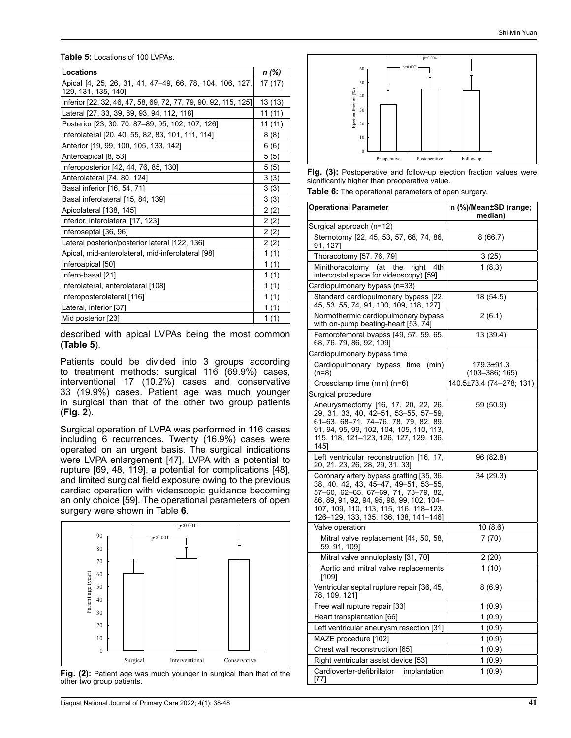**Table 5:** Locations of 100 LVPAs.

| Locations                                                                       | n (%)   |
|---------------------------------------------------------------------------------|---------|
| Apical [4, 25, 26, 31, 41, 47–49, 66, 78, 104, 106, 127,<br>129, 131, 135, 140] | 17 (17) |
| Inferior [22, 32, 46, 47, 58, 69, 72, 77, 79, 90, 92, 115, 125]                 | 13 (13) |
| Lateral [27, 33, 39, 89, 93, 94, 112, 118]                                      | 11(11)  |
| Posterior [23, 30, 70, 87-89, 95, 102, 107, 126]                                | 11 (11) |
| Inferolateral [20, 40, 55, 82, 83, 101, 111, 114]                               | 8(8)    |
| Anterior [19, 99, 100, 105, 133, 142]                                           | 6(6)    |
| Anteroapical [8, 53]                                                            | 5(5)    |
| Inferoposterior [42, 44, 76, 85, 130]                                           | 5(5)    |
| Anterolateral [74, 80, 124]                                                     | 3(3)    |
| Basal inferior [16, 54, 71]                                                     | 3(3)    |
| Basal inferolateral [15, 84, 139]                                               | 3(3)    |
| Apicolateral [138, 145]                                                         | 2(2)    |
| Inferior, inferolateral [17, 123]                                               | 2(2)    |
| Inferoseptal [36, 96]                                                           | 2(2)    |
| Lateral posterior/posterior lateral [122, 136]                                  | 2(2)    |
| Apical, mid-anterolateral, mid-inferolateral [98]                               | 1(1)    |
| Inferoapical [50]                                                               | 1(1)    |
| Infero-basal [21]                                                               | 1(1)    |
| Inferolateral, anterolateral [108]                                              | 1(1)    |
| Inferoposterolateral [116]                                                      | 1(1)    |
| Lateral, inferior [37]                                                          | 1(1)    |
| Mid posterior [23]                                                              | 1(1)    |

described with apical LVPAs being the most common (**Table 5**).

Patients could be divided into 3 groups according to treatment methods: surgical 116 (69.9%) cases, interventional 17 (10.2%) cases and conservative 33 (19.9%) cases. Patient age was much younger in surgical than that of the other two group patients (**Fig. 2**).

Surgical operation of LVPA was performed in 116 cases including 6 recurrences. Twenty (16.9%) cases were operated on an urgent basis. The surgical indications were LVPA enlargement [47], LVPA with a potential to rupture [69, 48, 119], a potential for complications [48], and limited surgical field exposure owing to the previous cardiac operation with videoscopic guidance becoming an only choice [59]. The operational parameters of open surgery were shown in Table **6**.



**Fig. (2):** Patient age was much younger in surgical than that of the other two group patients.



**Fig. (3):** Postoperative and follow-up ejection fraction values were significantly higher than preoperative value.

**Table 6:** The operational parameters of open surgery.

| <b>Operational Parameter</b>                                                                                                                                                                                                                            | n (%)/Mean±SD (range;<br>median) |
|---------------------------------------------------------------------------------------------------------------------------------------------------------------------------------------------------------------------------------------------------------|----------------------------------|
| Surgical approach (n=12)                                                                                                                                                                                                                                |                                  |
| Sternotomy [22, 45, 53, 57, 68, 74, 86,<br>91, 127]                                                                                                                                                                                                     | 8(66.7)                          |
| Thoracotomy [57, 76, 79]                                                                                                                                                                                                                                | 3(25)                            |
| Minithoracotomy (at<br>the<br>right<br>4th<br>intercostal space for videoscopy) [59]                                                                                                                                                                    | 1(8.3)                           |
| Cardiopulmonary bypass (n=33)                                                                                                                                                                                                                           |                                  |
| Standard cardiopulmonary bypass [22,<br>45, 53, 55, 74, 91, 100, 109, 118, 127]                                                                                                                                                                         | 18 (54.5)                        |
| Normothermic cardiopulmonary bypass<br>with on-pump beating-heart [53, 74]                                                                                                                                                                              | 2(6.1)                           |
| Femorofemoral byapss [49, 57, 59, 65,<br>68, 76, 79, 86, 92, 109]                                                                                                                                                                                       | 13 (39.4)                        |
| Cardiopulmonary bypass time                                                                                                                                                                                                                             |                                  |
| Cardiopulmonary bypass time (min)<br>(n=8)                                                                                                                                                                                                              | 179.3±91.3<br>(103–386; 165)     |
| Crossclamp time (min) (n=6)                                                                                                                                                                                                                             | 140.5±73.4 (74–278; 131)         |
| Surgical procedure                                                                                                                                                                                                                                      |                                  |
| Aneurysmectomy [16, 17, 20, 22, 26, 29, 31, 33, 40, 42-51, 53-55, 57-59,<br>61-63, 68-71, 74-76, 78, 79, 82, 89,<br>91, 94, 95, 99, 102, 104, 105, 110, 113,<br>115, 118, 121-123, 126, 127, 129, 136,<br>145]                                          | 59 (50.9)                        |
| Left ventricular reconstruction [16, 17,<br>20, 21, 23, 26, 28, 29, 31, 33]                                                                                                                                                                             | 96 (82.8)                        |
| Coronary artery bypass grafting [35, 36,<br>38, 40, 42, 43, 45-47, 49-51, 53-55,<br>57-60, 62-65, 67-69, 71, 73-79, 82,<br>86, 89, 91, 92, 94, 95, 98, 99, 102, 104-<br>107, 109, 110, 113, 115, 116, 118–123,<br>126-129, 133, 135, 136, 138, 141-146] | 34 (29.3)                        |
| Valve operation                                                                                                                                                                                                                                         | 10(8.6)                          |
| Mitral valve replacement [44, 50, 58,<br>59, 91, 109]                                                                                                                                                                                                   | 7(70)                            |
| Mitral valve annuloplasty [31, 70]                                                                                                                                                                                                                      | 2(20)                            |
| Aortic and mitral valve replacements<br>[109]                                                                                                                                                                                                           | 1(10)                            |
| Ventricular septal rupture repair [36, 45,<br>78, 109, 121]                                                                                                                                                                                             | 8 (6.9)                          |
| Free wall rupture repair [33]                                                                                                                                                                                                                           | 1(0.9)                           |
| Heart transplantation [66]                                                                                                                                                                                                                              | 1(0.9)                           |
| Left ventricular aneurysm resection [31]                                                                                                                                                                                                                | 1(0.9)                           |
| MAZE procedure [102]                                                                                                                                                                                                                                    | 1(0.9)                           |
| Chest wall reconstruction [65]                                                                                                                                                                                                                          | 1(0.9)                           |
| Right ventricular assist device [53]                                                                                                                                                                                                                    | 1(0.9)                           |
| Cardioverter-defibrillator implantation<br>[77]                                                                                                                                                                                                         | 1(0.9)                           |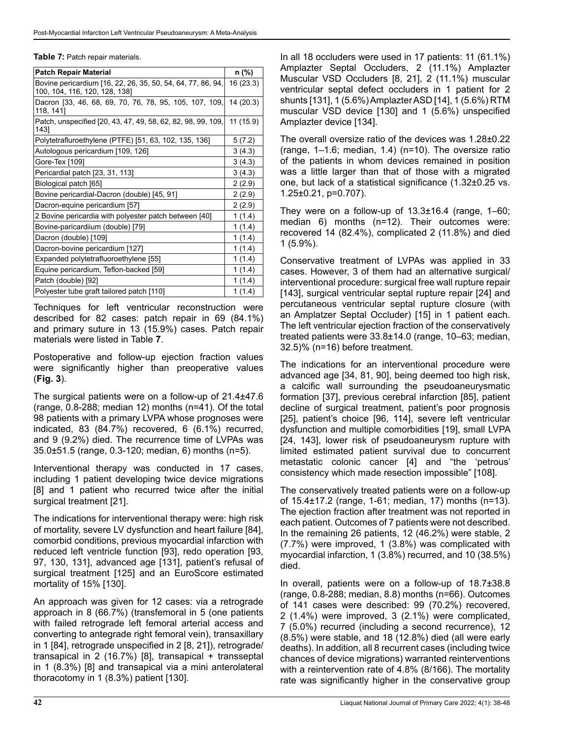|  | Table 7: Patch repair materials. |
|--|----------------------------------|
|--|----------------------------------|

| <b>Patch Repair Material</b>                                                                   | n (%)     |
|------------------------------------------------------------------------------------------------|-----------|
| Bovine pericardium [16, 22, 26, 35, 50, 54, 64, 77, 86, 94,  <br>100, 104, 116, 120, 128, 138] | 16 (23.3) |
| Dacron [33, 46, 68, 69, 70, 76, 78, 95, 105, 107, 109,<br>118, 141]                            | 14 (20.3) |
| Patch, unspecified [20, 43, 47, 49, 58, 62, 82, 98, 99, 109,  <br>1431                         | 11 (15.9) |
| Polytetrafluroethylene (PTFE) [51, 63, 102, 135, 136]                                          | 5(7.2)    |
| Autologous pericardium [109, 126]                                                              | 3(4.3)    |
| Gore-Tex [109]                                                                                 | 3(4.3)    |
| Pericardial patch [23, 31, 113]                                                                | 3(4.3)    |
| Biological patch [65]                                                                          | 2(2.9)    |
| Bovine pericardial-Dacron (double) [45, 91]                                                    | 2(2.9)    |
| Dacron-equine pericardium [57]                                                                 | 2(2.9)    |
| 2 Bovine pericardia with polyester patch between [40]                                          | 1(1.4)    |
| Bovine-paricardiium (double) [79]                                                              | 1(1.4)    |
| Dacron (double) [109]                                                                          | 1(1.4)    |
| Dacron-bovine pericardium [127]                                                                | 1(1.4)    |
| Expanded polytetrafluoroethylene [55]                                                          | 1(1.4)    |
| Equine pericardium, Teflon-backed [59]                                                         | 1(1.4)    |
| Patch (double) [92]                                                                            | 1(1.4)    |
| Polyester tube graft tailored patch [110]                                                      | 1(1.4)    |

Techniques for left ventricular reconstruction were described for 82 cases: patch repair in 69 (84.1%) and primary suture in 13 (15.9%) cases. Patch repair materials were listed in Table **7**.

Postoperative and follow-up ejection fraction values were significantly higher than preoperative values (**Fig. 3**).

The surgical patients were on a follow-up of 21.4±47.6 (range, 0.8-288; median 12) months (n=41). Of the total 98 patients with a primary LVPA whose prognoses were indicated, 83 (84.7%) recovered, 6 (6.1%) recurred, and 9 (9.2%) died. The recurrence time of LVPAs was 35.0±51.5 (range, 0.3-120; median, 6) months (n=5).

Interventional therapy was conducted in 17 cases, including 1 patient developing twice device migrations [8] and 1 patient who recurred twice after the initial surgical treatment [21].

The indications for interventional therapy were: high risk of mortality, severe LV dysfunction and heart failure [84], comorbid conditions, previous myocardial infarction with reduced left ventricle function [93], redo operation [93, 97, 130, 131], advanced age [131], patient's refusal of surgical treatment [125] and an EuroScore estimated mortality of 15% [130].

An approach was given for 12 cases: via a retrograde approach in 8 (66.7%) (transfemoral in 5 (one patients with failed retrograde left femoral arterial access and converting to antegrade right femoral vein), transaxillary in 1 [84], retrograde unspecified in 2 [8, 21]), retrograde/ transapical in 2 (16.7%) [8], transapical + transseptal in 1 (8.3%) [8] and transapical via a mini anterolateral thoracotomy in 1 (8.3%) patient [130].

In all 18 occluders were used in 17 patients: 11 (61.1%) Amplazter Septal Occluders, 2 (11.1%) Amplazter Muscular VSD Occluders [8, 21], 2 (11.1%) muscular ventricular septal defect occluders in 1 patient for 2 shunts [131], 1 (5.6%) Amplazter ASD [14], 1 (5.6%) RTM muscular VSD device [130] and 1 (5.6%) unspecified Amplazter device [134].

The overall oversize ratio of the devices was 1.28±0.22 (range, 1–1.6; median, 1.4) (n=10). The oversize ratio of the patients in whom devices remained in position was a little larger than that of those with a migrated one, but lack of a statistical significance (1.32±0.25 vs. 1.25±0.21, p=0.707).

They were on a follow-up of  $13.3\pm16.4$  (range,  $1-60$ ; median 6) months (n=12). Their outcomes were: recovered 14 (82.4%), complicated 2 (11.8%) and died 1 (5.9%).

Conservative treatment of LVPAs was applied in 33 cases. However, 3 of them had an alternative surgical/ interventional procedure: surgical free wall rupture repair [143], surgical ventricular septal rupture repair [24] and percutaneous ventricular septal rupture closure (with an Amplatzer Septal Occluder) [15] in 1 patient each. The left ventricular ejection fraction of the conservatively treated patients were 33.8±14.0 (range, 10–63; median, 32.5)% (n=16) before treatment.

The indications for an interventional procedure were advanced age [34, 81, 90], being deemed too high risk, a calcific wall surrounding the pseudoaneurysmatic formation [37], previous cerebral infarction [85], patient decline of surgical treatment, patient's poor prognosis [25], patient's choice [96, 114], severe left ventricular dysfunction and multiple comorbidities [19], small LVPA [24, 143], lower risk of pseudoaneurysm rupture with limited estimated patient survival due to concurrent metastatic colonic cancer [4] and "the 'petrous' consistency which made resection impossible" [108].

The conservatively treated patients were on a follow-up of 15.4±17.2 (range, 1-61; median, 17) months (n=13). The ejection fraction after treatment was not reported in each patient. Outcomes of 7 patients were not described. In the remaining 26 patients, 12 (46.2%) were stable, 2 (7.7%) were improved, 1 (3.8%) was complicated with myocardial infarction, 1 (3.8%) recurred, and 10 (38.5%) died.

In overall, patients were on a follow-up of 18.7±38.8 (range, 0.8-288; median, 8.8) months (n=66). Outcomes of 141 cases were described: 99 (70.2%) recovered, 2 (1.4%) were improved, 3 (2.1%) were complicated, 7 (5.0%) recurred (including a second recurrence), 12 (8.5%) were stable, and 18 (12.8%) died (all were early deaths). In addition, all 8 recurrent cases (including twice chances of device migrations) warranted reinterventions with a reintervention rate of 4.8% (8/166). The mortality rate was significantly higher in the conservative group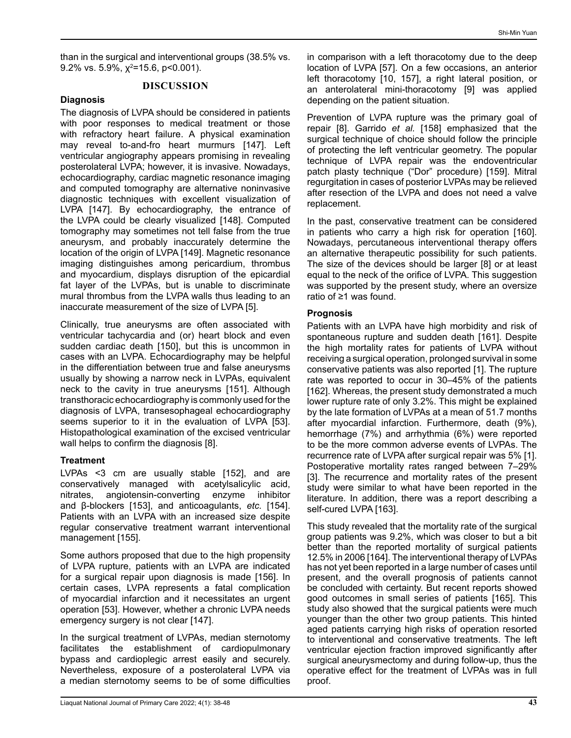than in the surgical and interventional groups (38.5% vs. 9.2% vs. 5.9%, χ<sup>2</sup>=15.6, p<0.001).

### **DISCUSSION**

# **Diagnosis**

The diagnosis of LVPA should be considered in patients with poor responses to medical treatment or those with refractory heart failure. A physical examination may reveal to-and-fro heart murmurs [147]. Left ventricular angiography appears promising in revealing posterolateral LVPA; however, it is invasive. Nowadays, echocardiography, cardiac magnetic resonance imaging and computed tomography are alternative noninvasive diagnostic techniques with excellent visualization of LVPA [147]. By echocardiography, the entrance of the LVPA could be clearly visualized [148]. Computed tomography may sometimes not tell false from the true aneurysm, and probably inaccurately determine the location of the origin of LVPA [149]. Magnetic resonance imaging distinguishes among pericardium, thrombus and myocardium, displays disruption of the epicardial fat layer of the LVPAs, but is unable to discriminate mural thrombus from the LVPA walls thus leading to an inaccurate measurement of the size of LVPA [5].

Clinically, true aneurysms are often associated with ventricular tachycardia and (or) heart block and even sudden cardiac death [150], but this is uncommon in cases with an LVPA. Echocardiography may be helpful in the differentiation between true and false aneurysms usually by showing a narrow neck in LVPAs, equivalent neck to the cavity in true aneurysms [151]. Although transthoracic echocardiography is commonly used for the diagnosis of LVPA, transesophageal echocardiography seems superior to it in the evaluation of LVPA [53]. Histopathological examination of the excised ventricular wall helps to confirm the diagnosis [8].

## **Treatment**

LVPAs <3 cm are usually stable [152], and are conservatively managed with acetylsalicylic acid, nitrates, angiotensin-converting enzyme inhibitor and β-blockers [153], and anticoagulants, *etc.* [154]. Patients with an LVPA with an increased size despite regular conservative treatment warrant interventional management [155].

Some authors proposed that due to the high propensity of LVPA rupture, patients with an LVPA are indicated for a surgical repair upon diagnosis is made [156]. In certain cases, LVPA represents a fatal complication of myocardial infarction and it necessitates an urgent operation [53]. However, whether a chronic LVPA needs emergency surgery is not clear [147].

In the surgical treatment of LVPAs, median sternotomy facilitates the establishment of cardiopulmonary bypass and cardioplegic arrest easily and securely. Nevertheless, exposure of a posterolateral LVPA via a median sternotomy seems to be of some difficulties

in comparison with a left thoracotomy due to the deep location of LVPA [57]. On a few occasions, an anterior left thoracotomy [10, 157], a right lateral position, or an anterolateral mini-thoracotomy [9] was applied depending on the patient situation.

Prevention of LVPA rupture was the primary goal of repair [8]. Garrido *et al.* [158] emphasized that the surgical technique of choice should follow the principle of protecting the left ventricular geometry. The popular technique of LVPA repair was the endoventricular patch plasty technique ("Dor" procedure) [159]. Mitral regurgitation in cases of posterior LVPAs may be relieved after resection of the LVPA and does not need a valve replacement.

In the past, conservative treatment can be considered in patients who carry a high risk for operation [160]. Nowadays, percutaneous interventional therapy offers an alternative therapeutic possibility for such patients. The size of the devices should be larger [8] or at least equal to the neck of the orifice of LVPA. This suggestion was supported by the present study, where an oversize ratio of ≥1 was found.

# **Prognosis**

Patients with an LVPA have high morbidity and risk of spontaneous rupture and sudden death [161]. Despite the high mortality rates for patients of LVPA without receiving a surgical operation, prolonged survival in some conservative patients was also reported [1]. The rupture rate was reported to occur in 30–45% of the patients [162]. Whereas, the present study demonstrated a much] lower rupture rate of only 3.2%. This might be explained by the late formation of LVPAs at a mean of 51.7 months after myocardial infarction. Furthermore, death (9%), hemorrhage (7%) and arrhythmia (6%) were reported to be the more common adverse events of LVPAs. The recurrence rate of LVPA after surgical repair was 5% [1]. Postoperative mortality rates ranged between 7–29% [3]. The recurrence and mortality rates of the present study were similar to what have been reported in the literature. In addition, there was a report describing a self-cured LVPA [163].

This study revealed that the mortality rate of the surgical group patients was 9.2%, which was closer to but a bit better than the reported mortality of surgical patients 12.5% in 2006 [164]. The interventional therapy of LVPAs has not yet been reported in a large number of cases until present, and the overall prognosis of patients cannot be concluded with certainty. But recent reports showed good outcomes in small series of patients [165]. This study also showed that the surgical patients were much younger than the other two group patients. This hinted aged patients carrying high risks of operation resorted to interventional and conservative treatments. The left ventricular ejection fraction improved significantly after surgical aneurysmectomy and during follow-up, thus the operative effect for the treatment of LVPAs was in full proof.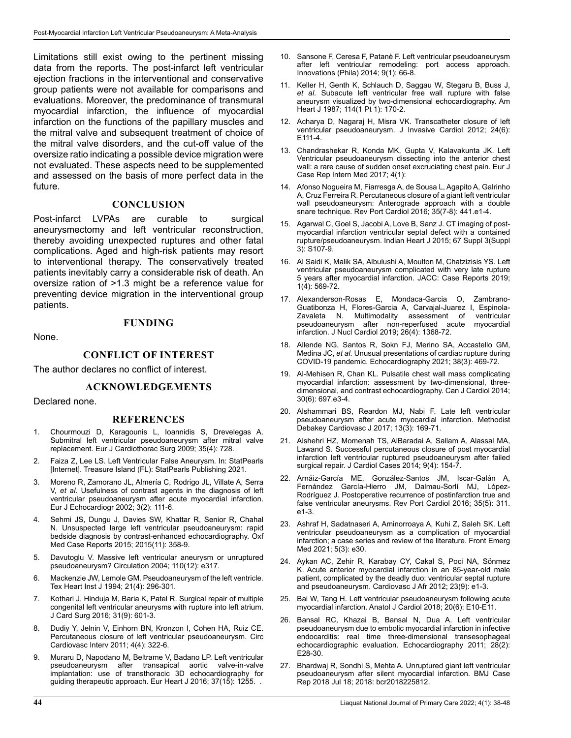Limitations still exist owing to the pertinent missing data from the reports. The post-infarct left ventricular ejection fractions in the interventional and conservative group patients were not available for comparisons and evaluations. Moreover, the predominance of transmural myocardial infarction, the influence of myocardial infarction on the functions of the papillary muscles and the mitral valve and subsequent treatment of choice of the mitral valve disorders, and the cut-off value of the oversize ratio indicating a possible device migration were not evaluated. These aspects need to be supplemented and assessed on the basis of more perfect data in the future.

#### **CONCLUSION**

Post-infarct LVPAs are curable to surgical aneurysmectomy and left ventricular reconstruction, thereby avoiding unexpected ruptures and other fatal complications. Aged and high-risk patients may resort to interventional therapy. The conservatively treated patients inevitably carry a considerable risk of death. An oversize ration of >1.3 might be a reference value for preventing device migration in the interventional group patients.

### **FUNDING**

None.

#### **CONFLICT OF INTEREST**

The author declares no conflict of interest.

# **ACKNOWLEDGEMENTS**

Declared none.

#### **REFERENCES**

- 1. Chourmouzi D, Karagounis L, Ioannidis S, Drevelegas A. Submitral left ventricular pseudoaneurysm after mitral valve replacement. Eur J Cardiothorac Surg 2009; 35(4): 728.
- 2. Faiza Z, Lee LS. Left Ventricular False Aneurysm. In: StatPearls [Internet]. Treasure Island (FL): StatPearls Publishing 2021.
- 3. Moreno R, Zamorano JL, Almería C, Rodrigo JL, Villate A, Serra V, *et al.* Usefulness of contrast agents in the diagnosis of left ventricular pseudoaneurysm after acute myocardial infarction. Eur J Echocardiogr 2002; 3(2): 111-6.
- 4. Sehmi JS, Dungu J, Davies SW, Khattar R, Senior R, Chahal N. Unsuspected large left ventricular pseudoaneurysm: rapid bedside diagnosis by contrast-enhanced echocardiography. Oxf Med Case Reports 2015; 2015(11): 358-9.
- 5. Davutoglu V. Massive left ventricular aneurysm or unruptured pseudoaneurysm? Circulation 2004; 110(12): e317.
- 6. Mackenzie JW, Lemole GM. Pseudoaneurysm of the left ventricle. Tex Heart Inst J 1994; 21(4): 296-301.
- 7. Kothari J, Hinduja M, Baria K, Patel R. Surgical repair of multiple congenital left ventricular aneurysms with rupture into left atrium. J Card Surg 2016; 31(9): 601-3.
- 8. Dudiy Y, Jelnin V, Einhorn BN, Kronzon I, Cohen HA, Ruiz CE. Percutaneous closure of left ventricular pseudoaneurysm. Circ Cardiovasc Interv 2011; 4(4): 322-6.
- 9. Muraru D, Napodano M, Beltrame V, Badano LP. Left ventricular pseudoaneurysm after transapical aortic valve-in-valve implantation: use of transthoracic 3D echocardiography for guiding therapeutic approach. Eur Heart J 2016; 37(15): 1255. .
- 10. Sansone F, Ceresa F, Patanè F. Left ventricular pseudoaneurysm after left ventricular remodeling: port access approach. Innovations (Phila) 2014; 9(1): 66-8.
- 11. Keller H, Genth K, Schlauch D, Saggau W, Stegaru B, Buss J, *et al.* Subacute left ventricular free wall rupture with false aneurysm visualized by two-dimensional echocardiography. Am Heart J 1987; 114(1 Pt 1): 170-2.
- 12. Acharya D, Nagaraj H, Misra VK. Transcatheter closure of left ventricular pseudoaneurysm. J Invasive Cardiol 2012; 24(6): E111-4.
- 13. Chandrashekar R, Konda MK, Gupta V, Kalavakunta JK. Left Ventricular pseudoaneurysm dissecting into the anterior chest wall: a rare cause of sudden onset excruciating chest pain. Eur J Case Rep Intern Med 2017; 4(1):
- 14. Afonso Nogueira M, Fiarresga A, de Sousa L, Agapito A, Galrinho A, Cruz Ferreira R. Percutaneous closure of a giant left ventricular wall pseudoaneurysm: Anterograde approach with a double snare technique. Rev Port Cardiol 2016; 35(7-8): 441.e1-4.
- 15. Agarwal C, Goel S, Jacobi A, Love B, Sanz J. CT imaging of postmyocardial infarction ventricular septal defect with a contained rupture/pseudoaneurysm. Indian Heart J 2015; 67 Suppl 3(Suppl 3): S107-9.
- 16. Al Saidi K, Malik SA, Albulushi A, Moulton M, Chatzizisis YS. Left ventricular pseudoaneurysm complicated with very late rupture 5 years after myocardial infarction. JACC: Case Reports 2019; 1(4): 569-72.
- 17. Alexanderson-Rosas E, Mondaca-Garcia O, Zambrano-Guatibonza H, Flores-Garcia A, Carvajal-Juarez I, Espinola-Zavaleta N. Multimodality assessment of ventricular<br>pseudoaneurysm after non-reperfused acute myocardial pseudoaneurysm after non-reperfused acute infarction. J Nucl Cardiol 2019; 26(4): 1368-72.
- 18. Allende NG, Santos R, Sokn FJ, Merino SA, Accastello GM, Medina JC, *et al.* Unusual presentations of cardiac rupture during COVID-19 pandemic. Echocardiography 2021; 38(3): 469-72.
- 19. Al-Mehisen R, Chan KL. Pulsatile chest wall mass complicating myocardial infarction: assessment by two-dimensional, threedimensional, and contrast echocardiography. Can J Cardiol 2014; 30(6): 697.e3-4.
- 20. Alshammari BS, Reardon MJ, Nabi F. Late left ventricular pseudoaneurysm after acute myocardial infarction. Methodist Debakey Cardiovasc J 2017; 13(3): 169-71.
- 21. Alshehri HZ, Momenah TS, AlBaradai A, Sallam A, Alassal MA, Lawand S. Successful percutaneous closure of post myocardial infarction left ventricular ruptured pseudoaneurysm after failed surgical repair. J Cardiol Cases 2014; 9(4): 154-7.
- 22. Arnáiz-García ME, González-Santos JM, Iscar-Galán A, Fernández García-Hierro JM, Dalmau-Sorlí MJ, López-Rodríguez J. Postoperative recurrence of postinfarction true and false ventricular aneurysms. Rev Port Cardiol 2016; 35(5): 311. e1-3.
- 23. Ashraf H, Sadatnaseri A, Aminorroaya A, Kuhi Z, Saleh SK. Left ventricular pseudoaneurysm as a complication of myocardial infarction; a case series and review of the literature. Front Emerg Med 2021; 5(3): e30.
- 24. Aykan AC, Zehir R, Karabay CY, Cakal S, Poci NA, Sönmez K. Acute anterior myocardial infarction in an 85-year-old male patient, complicated by the deadly duo: ventricular septal rupture and pseudoaneurysm. Cardiovasc J Afr 2012; 23(9): e1-3.
- 25. Bai W, Tang H. Left ventricular pseudoaneurysm following acute myocardial infarction. Anatol J Cardiol 2018; 20(6): E10-E11.
- 26. Bansal RC, Khazai B, Bansal N, Dua A. Left ventricular pseudoaneurysm due to embolic myocardial infarction in infective endocarditis: real time three-dimensional transesophageal echocardiographic evaluation. Echocardiography 2011; 28(2): E28-30.
- 27. Bhardwaj R, Sondhi S, Mehta A. Unruptured giant left ventricular pseudoaneurysm after silent myocardial infarction. BMJ Case Rep 2018 Jul 18; 2018: bcr2018225812.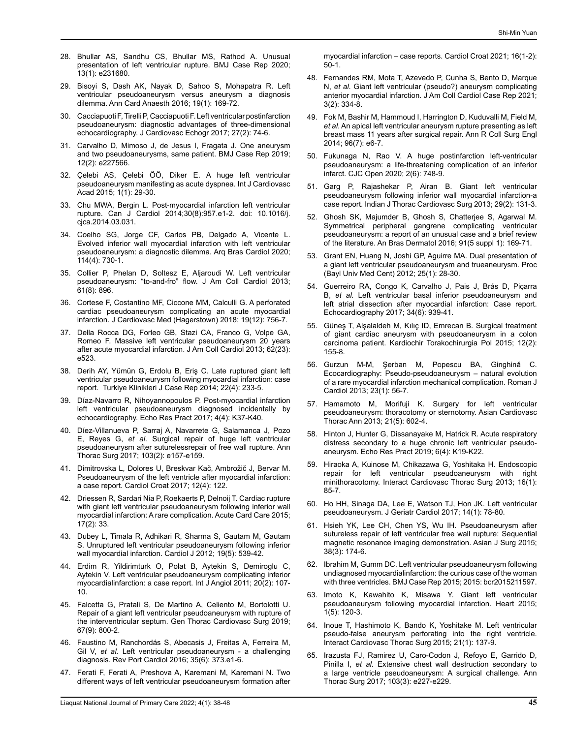- 28. Bhullar AS, Sandhu CS, Bhullar MS, Rathod A. Unusual presentation of left ventricular rupture. BMJ Case Rep 2020; 13(1): e231680.
- 29. Bisoyi S, Dash AK, Nayak D, Sahoo S, Mohapatra R. Left ventricular pseudoaneurysm versus aneurysm a diagnosis dilemma. Ann Card Anaesth 2016; 19(1): 169-72.
- 30. Cacciapuoti F, Tirelli P, Cacciapuoti F. Left ventricular postinfarction pseudoaneurysm: diagnostic advantages of three-dimensional echocardiography. J Cardiovasc Echogr 2017; 27(2): 74-6.
- 31. Carvalho D, Mimoso J, de Jesus I, Fragata J. One aneurysm and two pseudoaneurysms, same patient. BMJ Case Rep 2019; 12(2): e227566.
- 32. Çelebi AS, Çelebi ÖÖ, Diker E. A huge left ventricular pseudoaneurysm manifesting as acute dyspnea. Int J Cardiovasc Acad 2015; 1(1): 29-30.
- 33. Chu MWA, Bergin L. Post-myocardial infarction left ventricular rupture. Can J Cardiol 2014;30(8):957.e1-2. doi: 10.1016/j. cjca.2014.03.031.
- 34. Coelho SG, Jorge CF, Carlos PB, Delgado A, Vicente L. Evolved inferior wall myocardial infarction with left ventricular pseudoaneurysm: a diagnostic dilemma. Arq Bras Cardiol 2020; 114(4): 730-1.
- 35. Collier P, Phelan D, Soltesz E, Aljaroudi W. Left ventricular pseudoaneurysm: "to-and-fro" flow. J Am Coll Cardiol 2013; 61(8): 896.
- 36. Cortese F, Costantino MF, Ciccone MM, Calculli G. A perforated cardiac pseudoaneurysm complicating an acute myocardial infarction. J Cardiovasc Med (Hagerstown) 2018; 19(12): 756-7.
- 37. Della Rocca DG, Forleo GB, Stazi CA, Franco G, Volpe GA, Romeo F. Massive left ventricular pseudoaneurysm 20 years after acute myocardial infarction. J Am Coll Cardiol 2013; 62(23): e523.
- 38. Derih AY, Yümün G, Erdolu B, Eriş C. Late ruptured giant left ventricular pseudoaneurysm following myocardial infarction: case report. Turkiye Klinikleri J Case Rep 2014; 22(4): 233-5.
- 39. Díaz-Navarro R, Nihoyannopoulos P. Post-myocardial infarction left ventricular pseudoaneurysm diagnosed incidentally by echocardiography. Echo Res Pract 2017; 4(4): K37-K40.
- 40. Díez-Villanueva P, Sarraj A, Navarrete G, Salamanca J, Pozo E, Reyes G, *et al.* Surgical repair of huge left ventricular pseudoaneurysm after suturelessrepair of free wall rupture. Ann Thorac Surg 2017; 103(2): e157-e159.
- 41. Dimitrovska L, Dolores U, Breskvar Kač, Ambrožič J, Bervar M. Pseudoaneurysm of the left ventricle after myocardial infarction: a case report. Cardiol Croat 2017; 12(4): 122.
- 42. Driessen R, Sardari Nia P, Roekaerts P, Delnoij T. Cardiac rupture with giant left ventricular pseudoaneurysm following inferior wall myocardial infarction: A rare complication. Acute Card Care 2015; 17(2): 33.
- 43. Dubey L, Timala R, Adhikari R, Sharma S, Gautam M, Gautam S. Unruptured left ventricular pseudoaneurysm following inferior wall myocardial infarction. Cardiol J 2012; 19(5): 539-42.
- 44. Erdim R, Yildirimturk O, Polat B, Aytekin S, Demiroglu C, Aytekin V. Left ventricular pseudoaneurysm complicating inferior myocardialinfarction: a case report. Int J Angiol 2011; 20(2): 107- 10.
- 45. Falcetta G, Pratali S, De Martino A, Celiento M, Bortolotti U. Repair of a giant left ventricular pseudoaneurysm with rupture of the interventricular septum. Gen Thorac Cardiovasc Surg 2019; 67(9): 800-2.
- 46. Faustino M, Ranchordás S, Abecasis J, Freitas A, Ferreira M, Gil V, *et al.* Left ventricular pseudoaneurysm - a challenging diagnosis. Rev Port Cardiol 2016; 35(6): 373.e1-6.
- 47. Ferati F, Ferati A, Preshova A, Karemani M, Karemani N. Two different ways of left ventricular pseudoaneurysm formation after

myocardial infarction – case reports. Cardiol Croat 2021; 16(1-2): 50-1.

- 48. Fernandes RM, Mota T, Azevedo P, Cunha S, Bento D, Marque N, *et al.* Giant left ventricular (pseudo?) aneurysm complicating anterior myocardial infarction. J Am Coll Cardiol Case Rep 2021; 3(2): 334-8.
- 49. Fok M, Bashir M, Hammoud I, Harrington D, Kuduvalli M, Field M, *et al.* An apical left ventricular aneurysm rupture presenting as left breast mass 11 years after surgical repair. Ann R Coll Surg Engl 2014; 96(7): e6-7.
- 50. Fukunaga N, Rao V. A huge postinfarction left-ventricular pseudoaneurysm: a life-threatening complication of an inferior infarct. CJC Open 2020; 2(6): 748-9.
- 51. Garg P, Rajashekar P, Airan B. Giant left ventricular pseudoaneurysm following inferior wall myocardial infarction-a case report. Indian J Thorac Cardiovasc Surg 2013; 29(2): 131-3.
- 52. Ghosh SK, Majumder B, Ghosh S, Chatterjee S, Agarwal M. Symmetrical peripheral gangrene complicating ventricular pseudoaneurysm: a report of an unusual case and a brief review of the literature. An Bras Dermatol 2016; 91(5 suppl 1): 169-71.
- 53. Grant EN, Huang N, Joshi GP, Aguirre MA. Dual presentation of a giant left ventricular pseudoaneurysm and trueaneurysm. Proc (Bayl Univ Med Cent) 2012; 25(1): 28-30.
- 54. Guerreiro RA, Congo K, Carvalho J, Pais J, Brás D, Piçarra B, *et al.* Left ventricular basal inferior pseudoaneurysm and left atrial dissection after myocardial infarction: Case report. Echocardiography 2017; 34(6): 939-41.
- 55. Güneş T, Alşalaldeh M, Kılıç ID, Emrecan B. Surgical treatment of giant cardiac aneurysm with pseudoaneurysm in a colon carcinoma patient. Kardiochir Torakochirurgia Pol 2015; 12(2): 155-8.
- 56. Gurzun M-M, Şerban M, Popescu BA, Ginghină C. Ecocardiography: Pseudo-pseudoaneurysm – natural evolution of a rare myocardial infarction mechanical complication. Roman J Cardiol 2013; 23(1): 56-7.
- 57. Hamamoto M, Morifuji K. Surgery for left ventricular pseudoaneurysm: thoracotomy or sternotomy. Asian Cardiovasc Thorac Ann 2013; 21(5): 602-4.
- 58. Hinton J, Hunter G, Dissanayake M, Hatrick R. Acute respiratory distress secondary to a huge chronic left ventricular pseudoaneurysm. Echo Res Pract 2019; 6(4): K19-K22.
- 59. Hiraoka A, Kuinose M, Chikazawa G, Yoshitaka H. Endoscopic repair for left ventricular pseudoaneurysm with right minithoracotomy. Interact Cardiovasc Thorac Surg 2013; 16(1): 85-7.
- 60. Ho HH, Sinaga DA, Lee E, Watson TJ, Hon JK. Left ventricular pseudoaneurysm. J Geriatr Cardiol 2017; 14(1): 78-80.
- 61. Hsieh YK, Lee CH, Chen YS, Wu IH. Pseudoaneurysm after sutureless repair of left ventricular free wall rupture: Sequential magnetic resonance imaging demonstration. Asian J Surg 2015; 38(3): 174-6.
- 62. Ibrahim M, Gumm DC. Left ventricular pseudoaneurysm following undiagnosed myocardialinfarction: the curious case of the woman with three ventricles. BMJ Case Rep 2015; 2015: bcr2015211597.
- 63. Imoto K, Kawahito K, Misawa Y. Giant left ventricular pseudoaneurysm following myocardial infarction. Heart 2015; 1(5): 120-3.
- 64. Inoue T, Hashimoto K, Bando K, Yoshitake M. Left ventricular pseudo-false aneurysm perforating into the right ventricle. Interact Cardiovasc Thorac Surg 2015; 21(1): 137-9.
- 65. Irazusta FJ, Ramirez U, Caro-Codon J, Refoyo E, Garrido D, Pinilla I, *et al.* Extensive chest wall destruction secondary to a large ventricle pseudoaneurysm: A surgical challenge. Ann Thorac Surg 2017; 103(3): e227-e229.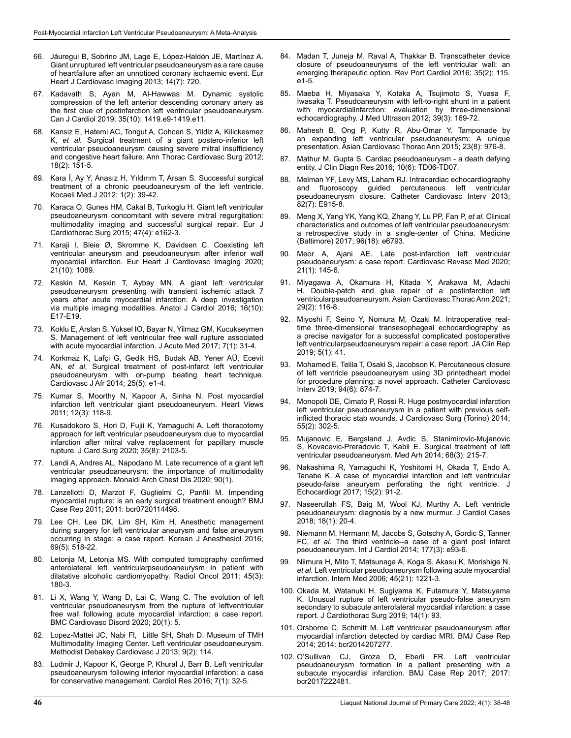- 66. Jáuregui B, Sobrino JM, Lage E, López-Haldón JE, Martínez A. Giant unruptured left ventricular pseudoaneurysm as a rare cause of heartfailure after an unnoticed coronary ischaemic event. Eur Heart J Cardiovasc Imaging 2013; 14(7): 720.
- 67. Kadavath S, Ayan M, Al-Hawwas M. Dynamic systolic compression of the left anterior descending coronary artery as the first clue of postinfarction left ventricular pseudoaneurysm. Can J Cardiol 2019; 35(10): 1419.e9-1419.e11.
- Kansiz E, Hatemi AC, Tongut A, Cohcen S, Yildiz A, Kilickesmez K, *et al.* Surgical treatment of a giant postero-inferior left ventricular pseudoaneurysm causing severe mitral insufficiency and congestive heart failure. Ann Thorac Cardiovasc Surg 2012; 18(2): 151-5.
- 69. Kara İ, Ay Y, Anasız H, Yıldırım T, Arsan S. Successful surgical treatment of a chronic pseudoaneurysm of the left ventricle. Kocaeli Med J 2012; 1(2): 39-42.
- 70. Karaca O, Gunes HM, Cakal B, Turkoglu H. Giant left ventricular pseudoaneurysm concomitant with severe mitral regurgitation: multimodality imaging and successful surgical repair. Eur J Cardiothorac Surg 2015; 47(4): e162-3.
- 71. Karaji I, Bleie Ø, Skromme K, Davidsen C. Coexisting left ventricular aneurysm and pseudoaneurysm after inferior wall myocardial infarction. Eur Heart J Cardiovasc Imaging 2020; 21(10): 1089.
- 72. Keskin M, Keskin T, Aybay MN. A giant left ventricular pseudoaneurysm presenting with transient ischemic attack 7 years after acute myocardial infarction: A deep investigation via multiple imaging modalities. Anatol J Cardiol 2016; 16(10): E17-E19.
- 73. Koklu E, Arslan S, Yuksel IO, Bayar N, Yilmaz GM, Kucukseymen S. Management of left ventricular free wall rupture associated with acute myocardial infarction. J Acute Med 2017; 7(1): 31-4.
- 74. Korkmaz K, Lafçi G, Gedik HS, Budak AB, Yener AÜ, Ecevit AN, *et al.* Surgical treatment of post-infarct left ventricular pseudoaneurysm with on-pump beating heart technique. Cardiovasc J Afr 2014; 25(5): e1-4.
- 75. Kumar S, Moorthy N, Kapoor A, Sinha N. Post myocardial infarction left ventricular giant pseudoaneurysm. Heart Views 2011; 12(3): 118-9.
- 76. Kusadokoro S, Hori D, Fujii K, Yamaguchi A. Left thoracotomy approach for left ventricular pseudoaneurysm due to myocardial infarction after mitral valve replacement for papillary muscle rupture. J Card Surg 2020; 35(8): 2103-5.
- 77. Landi A, Andres AL, Napodano M. Late recurrence of a giant left ventricular pseudoaneurysm: the importance of multimodality imaging approach. Monaldi Arch Chest Dis 2020; 90(1).
- 78. Lanzellotti D, Marzot F, Guglielmi C, Panfili M. Impending myocardial rupture: is an early surgical treatment enough? BMJ Case Rep 2011; 2011: bcr0720114498.
- 79. Lee CH, Lee DK, Lim SH, Kim H. Anesthetic management during surgery for left ventricular aneurysm and false aneurysm occurring in stage: a case report. Korean J Anesthesiol 2016; 69(5): 518-22.
- 80. Letonja M, Letonja MS. With computed tomography confirmed anterolateral left ventricularpseudoaneurysm in patient with dilatative alcoholic cardiomyopathy. Radiol Oncol 2011; 45(3): 180-3.
- 81. Li X, Wang Y, Wang D, Lai C, Wang C. The evolution of left ventricular pseudoaneurysm from the rupture of leftventricular free wall following acute myocardial infarction: a case report. BMC Cardiovasc Disord 2020; 20(1): 5.
- 82. Lopez-Mattei JC, Nabi Fl, Little SH, Shah D. Museum of TMH Multimodality Imaging Center. Left ventricular pseudoaneurysm. Methodist Debakey Cardiovasc J 2013; 9(2): 114.
- 83. Ludmir J, Kapoor K, George P, Khural J, Barr B. Left ventricular pseudoaneurysm following inferior myocardial infarction: a case for conservative management. Cardiol Res 2016; 7(1): 32-5.
- 84. Madan T, Juneja M, Raval A, Thakkar B. Transcatheter device closure of pseudoaneurysms of the left ventricular wall: an emerging therapeutic option. Rev Port Cardiol 2016; 35(2): 115. e1-5.
- 85. Maeba H, Miyasaka Y, Kotaka A, Tsujimoto S, Yuasa F, Iwasaka T. Pseudoaneurysm with left-to-right shunt in a patient with myocardialinfarction: evaluation by three-dimensional echocardiography. J Med Ultrason 2012; 39(3): 169-72.
- 86. Mahesh B, Ong P, Kutty R, Abu-Omar Y. Tamponade by an expanding left ventricular pseudoaneurysm: A unique presentation. Asian Cardiovasc Thorac Ann 2015; 23(8): 976-8.
- 87. Mathur M, Gupta S. Cardiac pseudoaneurysm a death defying entity. J Clin Diagn Res 2016; 10(6): TD06-TD07.
- 88. Melman YF, Levy MS, Laham RJ. Intracardiac echocardiography and fluoroscopy guided percutaneous left ventricular pseudoaneurysm closure. Catheter Cardiovasc Interv 2013; 82(7): E915-8.
- 89. Meng X, Yang YK, Yang KQ, Zhang Y, Lu PP, Fan P, *et al.* Clinical characteristics and outcomes of left ventricular pseudoaneurysm: a retrospective study in a single-center of China. Medicine (Baltimore) 2017; 96(18): e6793.
- 90. Meor A, Ajani AE. Late post-infarction left ventricular pseudoaneurysm: a case report. Cardiovasc Revasc Med 2020; 21(1): 145-6.
- 91. Miyagawa A, Okamura H, Kitada Y, Arakawa M, Adachi H. Double-patch and glue repair of a postinfarction left ventricularpseudoaneurysm. Asian Cardiovasc Thorac Ann 2021; 29(2): 116-8.
- 92. Miyoshi F, Seino Y, Nomura M, Ozaki M. Intraoperative realtime three-dimensional transesophageal echocardiography as a precise navigator for a successful complicated postoperative left ventricularpseudoaneurysm repair: a case report. JA Clin Rep 2019; 5(1): 41.
- 93. Mohamed E, Telila T, Osaki S, Jacobson K. Percutaneous closure of left ventricle pseudoaneurysm using 3D printedheart model for procedure planning: a novel approach. Catheter Cardiovasc Interv 2019; 94(6): 874-7.
- 94. Monopoli DE, Cimato P, Rossi R. Huge postmyocardial infarction left ventricular pseudoaneurysm in a patient with previous selfinflicted thoracic stab wounds. J Cardiovasc Surg (Torino) 2014; 55(2): 302-5.
- 95. Mujanovic E, Bergsland J, Avdic S, Stanimirovic-Mujanovic S, Kovacevic-Preradovic T, Kabil E. Surgical treatment of left ventricular pseudoaneurysm. Med Arh 2014; 68(3): 215-7.
- 96. Nakashima R, Yamaguchi K, Yoshitomi H, Okada T, Endo A, Tanabe K. A case of myocardial infarction and left ventricular pseudo-false aneurysm perforating the right ventricle. J Echocardiogr 2017; 15(2): 91-2.
- 97. Naseerullah FS, Baig M, Wool KJ, Murthy A. Left ventricle pseudoaneurysm: diagnosis by a new murmur. J Cardiol Cases 2018; 18(1): 20-4.
- 98. Niemann M, Hermann M, Jacobs S, Gotschy A, Gordic S, Tanner FC, *et al.* The third ventricle--a case of a giant post infarct pseudoaneurysm. Int J Cardiol 2014; 177(3): e93-6.
- 99. Niimura H, Mito T, Matsunaga A, Koga S, Akasu K, Morishige N, *et al.* Left ventricular pseudoaneurysm following acute myocardial infarction. Intern Med 2006; 45(21): 1221-3.
- 100. Okada M, Watanuki H, Sugiyama K, Futamura Y, Matsuyama K. Unusual rupture of left ventricular pseudo-false aneurysm secondary to subacute anterolateral myocardial infarction: a case report. J Cardiothorac Surg 2019; 14(1): 93.
- 101. Orsborne C, Schmitt M. Left ventricular pseudoaneurysm after myocardial infarction detected by cardiac MRI. BMJ Case Rep 2014; 2014: bcr2014207277.
- 102. O'Sullivan CJ, Groza D, Eberli FR. Left ventricular pseudoaneurysm formation in a patient presenting with a subacute myocardial infarction. BMJ Case Rep 2017; 2017: bcr2017222481.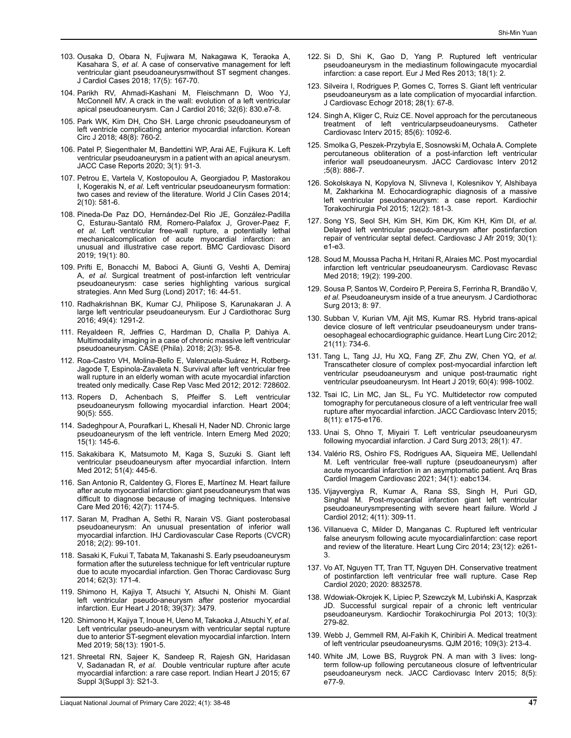- 103. Ousaka D, Obara N, Fujiwara M, Nakagawa K, Teraoka A, Kasahara S, *et al.* A case of conservative management for left ventricular giant pseudoaneurysmwithout ST segment changes. J Cardiol Cases 2018; 17(5): 167-70.
- 104. Parikh RV, Ahmadi-Kashani M, Fleischmann D, Woo YJ, McConnell MV. A crack in the wall: evolution of a left ventricular apical pseudoaneurysm. Can J Cardiol 2016; 32(6): 830.e7-8.
- 105. Park WK, Kim DH, Cho SH. Large chronic pseudoaneurysm of left ventricle complicating anterior myocardial infarction. Korean Circ J 2018; 48(8): 760-2.
- 106. Patel P, Siegenthaler M, Bandettini WP, Arai AE, Fujikura K. Left ventricular pseudoaneurysm in a patient with an apical aneurysm. JACC Case Reports 2020; 3(1): 91-3.
- 107. Petrou E, Vartela V, Kostopoulou A, Georgiadou P, Mastorakou I, Kogerakis N, *et al.* Left ventricular pseudoaneurysm formation: two cases and review of the literature. World J Clin Cases 2014; 2(10): 581-6.
- 108. Pineda-De Paz DO, Hernández-Del Rio JE, González-Padilla C, Esturau-Santaló RM, Romero-Palafox J, Grover-Paez F, *et al.* Left ventricular free-wall rupture, a potentially lethal mechanicalcomplication of acute myocardial infarction: an unusual and illustrative case report. BMC Cardiovasc Disord 2019; 19(1): 80.
- 109. Prifti E, Bonacchi M, Baboci A, Giunti G, Veshti A, Demiraj A, *et al.* Surgical treatment of post-infarction left ventricular pseudoaneurysm: case series highlighting various surgical strategies. Ann Med Surg (Lond) 2017; 16: 44-51.
- 110. Radhakrishnan BK, Kumar CJ, Philipose S, Karunakaran J. A large left ventricular pseudoaneurysm. Eur J Cardiothorac Surg 2016; 49(4): 1291-2.
- 111. Reyaldeen R, Jeffries C, Hardman D, Challa P, Dahiya A. Multimodality imaging in a case of chronic massive left ventricular pseudoaneurysm. CASE (Phila). 2018; 2(3): 95-8.
- 112. Roa-Castro VH, Molina-Bello E, Valenzuela-Suárez H, Rotberg-Jagode T, Espinola-Zavaleta N. Survival after left ventricular free wall rupture in an elderly woman with acute myocardial infarction treated only medically. Case Rep Vasc Med 2012; 2012: 728602.
- 113. Ropers D, Achenbach S, Pfeiffer S. Left ventricular pseudoaneurysm following myocardial infarction. Heart 2004; 90(5): 555.
- 114. Sadeghpour A, Pourafkari L, Khesali H, Nader ND. Chronic large pseudoaneurysm of the left ventricle. Intern Emerg Med 2020; 15(1): 145-6.
- 115. Sakakibara K, Matsumoto M, Kaga S, Suzuki S. Giant left ventricular pseudoaneurysm after myocardial infarction. Intern Med 2012; 51(4): 445-6.
- 116. San Antonio R, Caldentey G, Flores E, Martínez M. Heart failure after acute myocardial infarction: giant pseudoaneurysm that was difficult to diagnose because of imaging techniques. Intensive Care Med 2016; 42(7): 1174-5.
- 117. Saran M, Pradhan A, Sethi R, Narain VS. Giant posterobasal pseudoaneurysm: An unusual presentation of inferior wall myocardial infarction. IHJ Cardiovascular Case Reports (CVCR) 2018; 2(2): 99-101.
- 118. Sasaki K, Fukui T, Tabata M, Takanashi S. Early pseudoaneurysm formation after the sutureless technique for left ventricular rupture due to acute myocardial infarction. Gen Thorac Cardiovasc Surg 2014; 62(3): 171-4.
- 119. Shimono H, Kajiya T, Atsuchi Y, Atsuchi N, Ohishi M. Giant left ventricular pseudo-aneurysm after posterior myocardial infarction. Eur Heart J 2018; 39(37): 3479.
- 120. Shimono H, Kajiya T, Inoue H, Ueno M, Takaoka J, Atsuchi Y, *et al.* Left ventricular pseudo-aneurysm with ventricular septal rupture due to anterior ST-segment elevation myocardial infarction. Intern Med 2019; 58(13): 1901-5.
- 121. Shreetal RN, Sajeer K, Sandeep R, Rajesh GN, Haridasan V, Sadanadan R, *et al.* Double ventricular rupture after acute myocardial infarction: a rare case report. Indian Heart J 2015; 67 Suppl 3(Suppl 3): S21-3.
- 122. Si D, Shi K, Gao D, Yang P. Ruptured left ventricular pseudoaneurysm in the mediastinum followingacute myocardial infarction: a case report. Eur J Med Res 2013; 18(1): 2.
- 123. Silveira I, Rodrigues P, Gomes C, Torres S. Giant left ventricular pseudoaneurysm as a late complication of myocardial infarction. J Cardiovasc Echogr 2018; 28(1): 67-8.
- 124. Singh A, Kliger C, Ruiz CE. Novel approach for the percutaneous treatment of left ventricularpseudoaneurysms. Catheter Cardiovasc Interv 2015; 85(6): 1092-6.
- 125. Smolka G, Peszek-Przybyla E, Sosnowski M, Ochala A. Complete percutaneous obliteration of a post-infarction left ventricular inferior wall pseudoaneurysm. JACC Cardiovasc Interv 2012 ;5(8): 886-7.
- 126. Sokolskaya N, Kopylova N, Slivneva I, Kolesnikov Y, Alshibaya M, Zakharkina M. Echocardiographic diagnosis of a massive left ventricular pseudoaneurysm: a case report. Kardiochir Torakochirurgia Pol 2015; 12(2): 181-3.
- 127. Song YS, Seol SH, Kim SH, Kim DK, Kim KH, Kim DI, *et al.* Delayed left ventricular pseudo-aneurysm after postinfarction repair of ventricular septal defect. Cardiovasc J Afr 2019; 30(1): e1-e3.
- 128. Soud M, Moussa Pacha H, Hritani R, Alraies MC. Post myocardial infarction left ventricular pseudoaneurysm. Cardiovasc Revasc Med 2018; 19(2): 199-200.
- 129. Sousa P, Santos W, Cordeiro P, Pereira S, Ferrinha R, Brandão V, *et al.* Pseudoaneurysm inside of a true aneurysm. J Cardiothorac Surg 2013; 8: 97.
- 130. Subban V, Kurian VM, Ajit MS, Kumar RS. Hybrid trans-apical device closure of left ventricular pseudoaneurysm under transoesophageal echocardiographic guidance. Heart Lung Circ 2012; 21(11): 734-6.
- 131. Tang L, Tang JJ, Hu XQ, Fang ZF, Zhu ZW, Chen YQ, *et al.* Transcatheter closure of complex post-myocardial infarction left ventricular pseudoaneurysm and unique post-traumatic right ventricular pseudoaneurysm. Int Heart J 2019; 60(4): 998-1002.
- 132. Tsai IC, Lin MC, Jan SL, Fu YC. Multidetector row computed tomography for percutaneous closure of a left ventricular free wall rupture after myocardial infarction. JACC Cardiovasc Interv 2015; 8(11): e175-e176.
- 133. Unai S, Ohno T, Miyairi T. Left ventricular pseudoaneurysm following myocardial infarction. J Card Surg 2013; 28(1): 47.
- 134. Valério RS, Oshiro FS, Rodrigues AA, Siqueira ME, Uellendahl M. Left ventricular free-wall rupture (pseudoaneurysm) after acute myocardial infarction in an asymptomatic patient. Arq Bras Cardiol Imagem Cardiovasc 2021; 34(1): eabc134.
- 135. Vijayvergiya R, Kumar A, Rana SS, Singh H, Puri GD, Singhal M. Post-myocardial infarction giant left ventricular pseudoaneurysmpresenting with severe heart failure. World J Cardiol 2012; 4(11): 309-11.
- 136. Villanueva C, Milder D, Manganas C. Ruptured left ventricular false aneurysm following acute myocardialinfarction: case report and review of the literature. Heart Lung Circ 2014; 23(12): e261- 3.
- 137. Vo AT, Nguyen TT, Tran TT, Nguyen DH. Conservative treatment of postinfarction left ventricular free wall rupture. Case Rep Cardiol 2020; 2020: 8832578.
- 138. Wdowiak-Okrojek K, Lipiec P, Szewczyk M, Lubiński A, Kasprzak JD. Successful surgical repair of a chronic left ventricular pseudoaneurysm. Kardiochir Torakochirurgia Pol 2013; 10(3): 279-82.
- 139. Webb J, Gemmell RM, Al-Fakih K, Chiribiri A. Medical treatment of left ventricular pseudoaneurysms. QJM 2016; 109(3): 213-4.
- 140. White JM, Lowe BS, Ruygrok PN. A man with 3 lives: longterm follow-up following percutaneous closure of leftventricular pseudoaneurysm neck. JACC Cardiovasc Interv 2015; 8(5): e77-9.